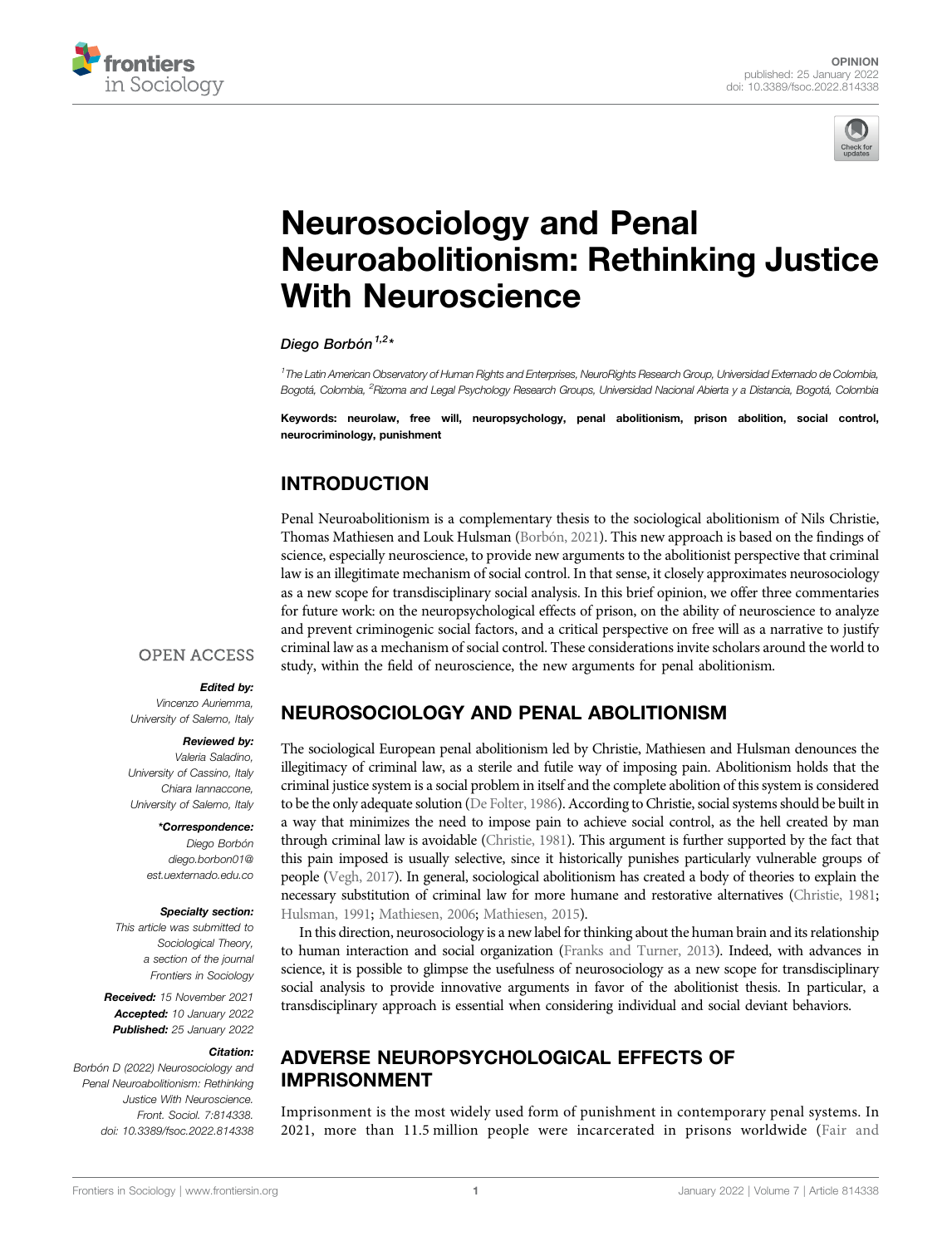



# [Neurosociology and Penal](https://www.frontiersin.org/articles/10.3389/fsoc.2022.814338/full) [Neuroabolitionism: Rethinking Justice](https://www.frontiersin.org/articles/10.3389/fsoc.2022.814338/full) [With Neuroscience](https://www.frontiersin.org/articles/10.3389/fsoc.2022.814338/full)

Diego Borbón<sup> $1,2*$ </sup>

1 The Latin American Observatory of Human Rights and Enterprises, NeuroRights Research Group, Universidad Externado de Colombia, Bogotá, Colombia, <sup>2</sup>Rizoma and Legal Psychology Research Groups, Universidad Nacional Abierta y a Distancia, Bogotá, Colombia

Keywords: neurolaw, free will, neuropsychology, penal abolitionism, prison abolition, social control, neurocriminology, punishment

## INTRODUCTION

Penal Neuroabolitionism is a complementary thesis to the sociological abolitionism of Nils Christie, Thomas Mathiesen and Louk Hulsman [\(Borbón, 2021\)](#page-3-0). This new approach is based on the findings of science, especially neuroscience, to provide new arguments to the abolitionist perspective that criminal law is an illegitimate mechanism of social control. In that sense, it closely approximates neurosociology as a new scope for transdisciplinary social analysis. In this brief opinion, we offer three commentaries for future work: on the neuropsychological effects of prison, on the ability of neuroscience to analyze and prevent criminogenic social factors, and a critical perspective on free will as a narrative to justify criminal law as a mechanism of social control. These considerations invite scholars around the world to study, within the field of neuroscience, the new arguments for penal abolitionism.

#### **OPEN ACCESS**

#### Edited by:

Vincenzo Auriemma, University of Salerno, Italy

#### Reviewed by:

Valeria Saladino, University of Cassino, Italy Chiara Iannaccone, University of Salerno, Italy

> \*Correspondence: Diego Borbón [diego.borbon01@](mailto:diego.borbon01@est.uexternado.edu.co) [est.uexternado.edu.co](mailto:diego.borbon01@est.uexternado.edu.co)

#### Specialty section:

This article was submitted to Sociological Theory, a section of the journal Frontiers in Sociology

Received: 15 November 2021 Accepted: 10 January 2022 Published: 25 January 2022

#### Citation:

Borbón D (2022) Neurosociology and Penal Neuroabolitionism: Rethinking Justice With Neuroscience. Front. Sociol. 7:814338. doi: [10.3389/fsoc.2022.814338](https://doi.org/10.3389/fsoc.2022.814338)

# NEUROSOCIOLOGY AND PENAL ABOLITIONISM

The sociological European penal abolitionism led by Christie, Mathiesen and Hulsman denounces the illegitimacy of criminal law, as a sterile and futile way of imposing pain. Abolitionism holds that the criminal justice system is a social problem in itself and the complete abolition of this system is considered to be the only adequate solution [\(De Folter, 1986\)](#page-3-1). According to Christie, social systems should be built in a way that minimizes the need to impose pain to achieve social control, as the hell created by man through criminal law is avoidable [\(Christie, 1981\)](#page-3-2). This argument is further supported by the fact that this pain imposed is usually selective, since it historically punishes particularly vulnerable groups of people [\(Vegh, 2017\)](#page-4-0). In general, sociological abolitionism has created a body of theories to explain the necessary substitution of criminal law for more humane and restorative alternatives [\(Christie, 1981;](#page-3-2) [Hulsman, 1991;](#page-3-3) [Mathiesen, 2006](#page-3-4); [Mathiesen, 2015\)](#page-3-5).

In this direction, neurosociology is a new label for thinking about the human brain and its relationship to human interaction and social organization ([Franks and Turner, 2013](#page-3-6)). Indeed, with advances in science, it is possible to glimpse the usefulness of neurosociology as a new scope for transdisciplinary social analysis to provide innovative arguments in favor of the abolitionist thesis. In particular, a transdisciplinary approach is essential when considering individual and social deviant behaviors.

### ADVERSE NEUROPSYCHOLOGICAL EFFECTS OF IMPRISONMENT

Imprisonment is the most widely used form of punishment in contemporary penal systems. In 2021, more than 11.5 million people were incarcerated in prisons worldwide ([Fair and](#page-3-7)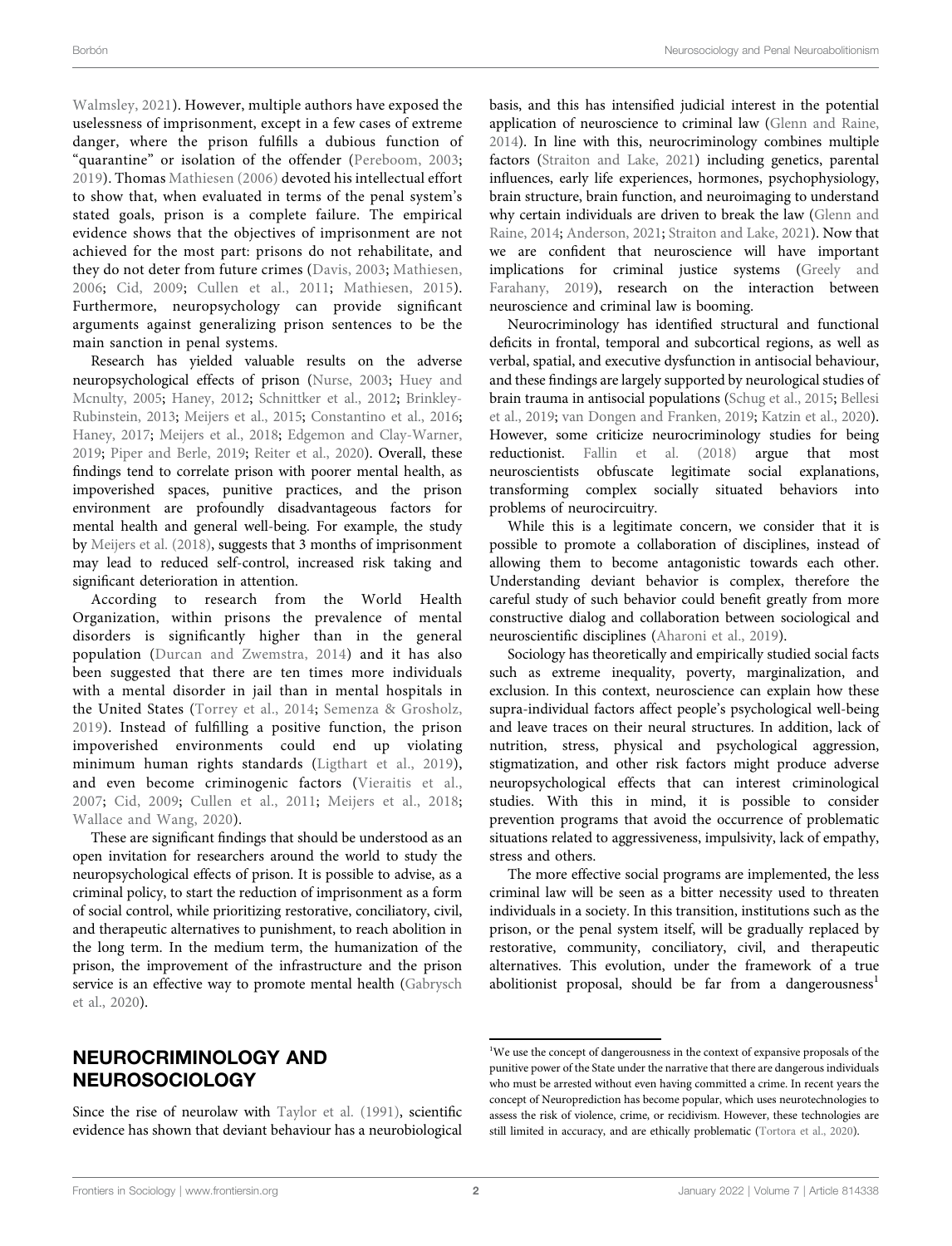[Walmsley, 2021\)](#page-3-7). However, multiple authors have exposed the uselessness of imprisonment, except in a few cases of extreme danger, where the prison fulfills a dubious function of "quarantine" or isolation of the offender [\(Pereboom, 2003](#page-3-8); [2019](#page-3-9)). Thomas [Mathiesen \(2006\)](#page-3-4) devoted his intellectual effort to show that, when evaluated in terms of the penal system's stated goals, prison is a complete failure. The empirical evidence shows that the objectives of imprisonment are not achieved for the most part: prisons do not rehabilitate, and they do not deter from future crimes [\(Davis, 2003](#page-3-10); [Mathiesen,](#page-3-4) [2006](#page-3-4); [Cid, 2009;](#page-3-11) [Cullen et al., 2011](#page-3-12); [Mathiesen, 2015\)](#page-3-5). Furthermore, neuropsychology can provide significant arguments against generalizing prison sentences to be the main sanction in penal systems.

Research has yielded valuable results on the adverse neuropsychological effects of prison [\(Nurse, 2003](#page-3-13); [Huey and](#page-3-14) [Mcnulty, 2005](#page-3-14); [Haney, 2012](#page-3-15); [Schnittker et al., 2012](#page-4-1); [Brinkley-](#page-3-16)[Rubinstein, 2013;](#page-3-16) [Meijers et al., 2015](#page-3-17); [Constantino et al., 2016](#page-3-18); [Haney, 2017;](#page-3-19) [Meijers et al., 2018](#page-3-20); [Edgemon and Clay-Warner,](#page-3-21) [2019](#page-3-21); [Piper and Berle, 2019](#page-3-22); [Reiter et al., 2020\)](#page-3-23). Overall, these findings tend to correlate prison with poorer mental health, as impoverished spaces, punitive practices, and the prison environment are profoundly disadvantageous factors for mental health and general well-being. For example, the study by [Meijers et al. \(2018\)](#page-3-20), suggests that 3 months of imprisonment may lead to reduced self-control, increased risk taking and significant deterioration in attention.

According to research from the World Health Organization, within prisons the prevalence of mental disorders is significantly higher than in the general population ([Durcan and Zwemstra, 2014\)](#page-3-24) and it has also been suggested that there are ten times more individuals with a mental disorder in jail than in mental hospitals in the United States ([Torrey et al., 2014;](#page-4-2) [Semenza & Grosholz,](#page-4-3) [2019](#page-4-3)). Instead of fulfilling a positive function, the prison impoverished environments could end up violating minimum human rights standards [\(Ligthart et al., 2019\)](#page-3-25), and even become criminogenic factors ([Vieraitis et al.,](#page-4-4) [2007](#page-4-4); [Cid, 2009;](#page-3-11) [Cullen et al., 2011;](#page-3-12) [Meijers et al., 2018](#page-3-20); [Wallace and Wang, 2020\)](#page-4-5).

These are significant findings that should be understood as an open invitation for researchers around the world to study the neuropsychological effects of prison. It is possible to advise, as a criminal policy, to start the reduction of imprisonment as a form of social control, while prioritizing restorative, conciliatory, civil, and therapeutic alternatives to punishment, to reach abolition in the long term. In the medium term, the humanization of the prison, the improvement of the infrastructure and the prison service is an effective way to promote mental health [\(Gabrysch](#page-3-26) [et al., 2020](#page-3-26)).

### NEUROCRIMINOLOGY AND NEUROSOCIOLOGY

Since the rise of neurolaw with [Taylor et al. \(1991\),](#page-4-6) scientific evidence has shown that deviant behaviour has a neurobiological basis, and this has intensified judicial interest in the potential application of neuroscience to criminal law ([Glenn and Raine,](#page-3-27) [2014](#page-3-27)). In line with this, neurocriminology combines multiple factors [\(Straiton and Lake, 2021\)](#page-4-7) including genetics, parental influences, early life experiences, hormones, psychophysiology, brain structure, brain function, and neuroimaging to understand why certain individuals are driven to break the law [\(Glenn and](#page-3-27) [Raine, 2014](#page-3-27); [Anderson, 2021](#page-3-28); [Straiton and Lake, 2021](#page-4-7)). Now that we are confident that neuroscience will have important implications for criminal justice systems [\(Greely and](#page-3-29) [Farahany, 2019](#page-3-29)), research on the interaction between neuroscience and criminal law is booming.

Neurocriminology has identified structural and functional deficits in frontal, temporal and subcortical regions, as well as verbal, spatial, and executive dysfunction in antisocial behaviour, and these findings are largely supported by neurological studies of brain trauma in antisocial populations [\(Schug et al., 2015](#page-4-8); [Bellesi](#page-3-30) [et al., 2019;](#page-3-30) [van Dongen and Franken, 2019;](#page-4-9) [Katzin et al., 2020\)](#page-3-31). However, some criticize neurocriminology studies for being reductionist. [Fallin et al. \(2018\)](#page-3-32) argue that most neuroscientists obfuscate legitimate social explanations, transforming complex socially situated behaviors into problems of neurocircuitry.

While this is a legitimate concern, we consider that it is possible to promote a collaboration of disciplines, instead of allowing them to become antagonistic towards each other. Understanding deviant behavior is complex, therefore the careful study of such behavior could benefit greatly from more constructive dialog and collaboration between sociological and neuroscientific disciplines ([Aharoni et al., 2019](#page-3-33)).

Sociology has theoretically and empirically studied social facts such as extreme inequality, poverty, marginalization, and exclusion. In this context, neuroscience can explain how these supra-individual factors affect people's psychological well-being and leave traces on their neural structures. In addition, lack of nutrition, stress, physical and psychological aggression, stigmatization, and other risk factors might produce adverse neuropsychological effects that can interest criminological studies. With this in mind, it is possible to consider prevention programs that avoid the occurrence of problematic situations related to aggressiveness, impulsivity, lack of empathy, stress and others.

The more effective social programs are implemented, the less criminal law will be seen as a bitter necessity used to threaten individuals in a society. In this transition, institutions such as the prison, or the penal system itself, will be gradually replaced by restorative, community, conciliatory, civil, and therapeutic alternatives. This evolution, under the framework of a true abolitionist proposal, should be far from a dangerousness<sup>1</sup>

<sup>&</sup>lt;sup>1</sup>We use the concept of dangerousness in the context of expansive proposals of the punitive power of the State under the narrative that there are dangerous individuals who must be arrested without even having committed a crime. In recent years the concept of Neuroprediction has become popular, which uses neurotechnologies to assess the risk of violence, crime, or recidivism. However, these technologies are still limited in accuracy, and are ethically problematic ([Tortora et al., 2020\)](#page-4-10).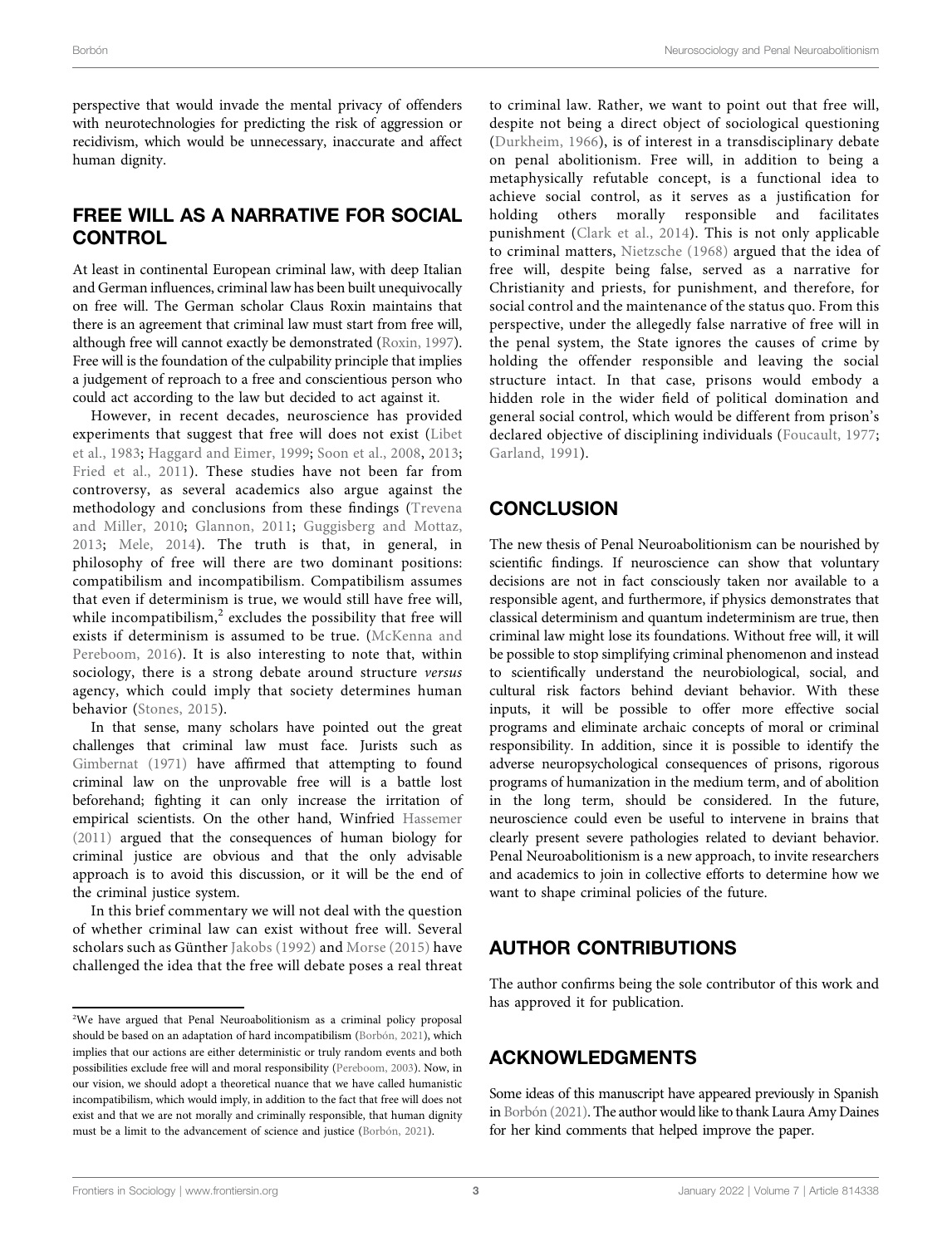perspective that would invade the mental privacy of offenders with neurotechnologies for predicting the risk of aggression or recidivism, which would be unnecessary, inaccurate and affect human dignity.

### FREE WILL AS A NARRATIVE FOR SOCIAL **CONTROL**

At least in continental European criminal law, with deep Italian and German influences, criminal law has been built unequivocally on free will. The German scholar Claus Roxin maintains that there is an agreement that criminal law must start from free will, although free will cannot exactly be demonstrated ([Roxin, 1997\)](#page-3-34). Free will is the foundation of the culpability principle that implies a judgement of reproach to a free and conscientious person who could act according to the law but decided to act against it.

However, in recent decades, neuroscience has provided experiments that suggest that free will does not exist [\(Libet](#page-3-35) [et al., 1983;](#page-3-35) [Haggard and Eimer, 1999;](#page-3-36) [Soon et al., 2008](#page-4-11), [2013](#page-4-12); [Fried et al., 2011](#page-3-37)). These studies have not been far from controversy, as several academics also argue against the methodology and conclusions from these findings [\(Trevena](#page-4-13) [and Miller, 2010](#page-4-13); [Glannon, 2011;](#page-3-38) [Guggisberg and Mottaz,](#page-3-39) [2013](#page-3-39); [Mele, 2014\)](#page-3-40). The truth is that, in general, in philosophy of free will there are two dominant positions: compatibilism and incompatibilism. Compatibilism assumes that even if determinism is true, we would still have free will, while incompatibilism, $2$  excludes the possibility that free will exists if determinism is assumed to be true. [\(McKenna and](#page-3-41) [Pereboom, 2016\)](#page-3-41). It is also interesting to note that, within sociology, there is a strong debate around structure versus agency, which could imply that society determines human behavior [\(Stones, 2015](#page-4-14)).

In that sense, many scholars have pointed out the great challenges that criminal law must face. Jurists such as [Gimbernat \(1971\)](#page-3-42) have affirmed that attempting to found criminal law on the unprovable free will is a battle lost beforehand; fighting it can only increase the irritation of empirical scientists. On the other hand, Winfried [Hassemer](#page-3-43) [\(2011\)](#page-3-43) argued that the consequences of human biology for criminal justice are obvious and that the only advisable approach is to avoid this discussion, or it will be the end of the criminal justice system.

In this brief commentary we will not deal with the question of whether criminal law can exist without free will. Several scholars such as Günther [Jakobs \(1992\)](#page-3-44) and [Morse \(2015\)](#page-3-45) have challenged the idea that the free will debate poses a real threat

to criminal law. Rather, we want to point out that free will, despite not being a direct object of sociological questioning ([Durkheim, 1966](#page-3-46)), is of interest in a transdisciplinary debate on penal abolitionism. Free will, in addition to being a metaphysically refutable concept, is a functional idea to achieve social control, as it serves as a justification for holding others morally responsible and facilitates punishment ([Clark et al., 2014](#page-3-47)). This is not only applicable to criminal matters, [Nietzsche \(1968\)](#page-3-48) argued that the idea of free will, despite being false, served as a narrative for Christianity and priests, for punishment, and therefore, for social control and the maintenance of the status quo. From this perspective, under the allegedly false narrative of free will in the penal system, the State ignores the causes of crime by holding the offender responsible and leaving the social structure intact. In that case, prisons would embody a hidden role in the wider field of political domination and general social control, which would be different from prison's declared objective of disciplining individuals ([Foucault, 1977;](#page-3-49) [Garland, 1991\)](#page-3-50).

## **CONCLUSION**

The new thesis of Penal Neuroabolitionism can be nourished by scientific findings. If neuroscience can show that voluntary decisions are not in fact consciously taken nor available to a responsible agent, and furthermore, if physics demonstrates that classical determinism and quantum indeterminism are true, then criminal law might lose its foundations. Without free will, it will be possible to stop simplifying criminal phenomenon and instead to scientifically understand the neurobiological, social, and cultural risk factors behind deviant behavior. With these inputs, it will be possible to offer more effective social programs and eliminate archaic concepts of moral or criminal responsibility. In addition, since it is possible to identify the adverse neuropsychological consequences of prisons, rigorous programs of humanization in the medium term, and of abolition in the long term, should be considered. In the future, neuroscience could even be useful to intervene in brains that clearly present severe pathologies related to deviant behavior. Penal Neuroabolitionism is a new approach, to invite researchers and academics to join in collective efforts to determine how we want to shape criminal policies of the future.

### AUTHOR CONTRIBUTIONS

The author confirms being the sole contributor of this work and has approved it for publication.

## ACKNOWLEDGMENTS

Some ideas of this manuscript have appeared previously in Spanish in [Borbón \(2021\)](#page-3-0). The author would like to thank Laura Amy Daines for her kind comments that helped improve the paper.

<sup>&</sup>lt;sup>2</sup>We have argued that Penal Neuroabolitionism as a criminal policy proposal should be based on an adaptation of hard incompatibilism ([Borbón, 2021\)](#page-3-0), which implies that our actions are either deterministic or truly random events and both possibilities exclude free will and moral responsibility [\(Pereboom, 2003\)](#page-3-8). Now, in our vision, we should adopt a theoretical nuance that we have called humanistic incompatibilism, which would imply, in addition to the fact that free will does not exist and that we are not morally and criminally responsible, that human dignity must be a limit to the advancement of science and justice ([Borbón, 2021\)](#page-3-0).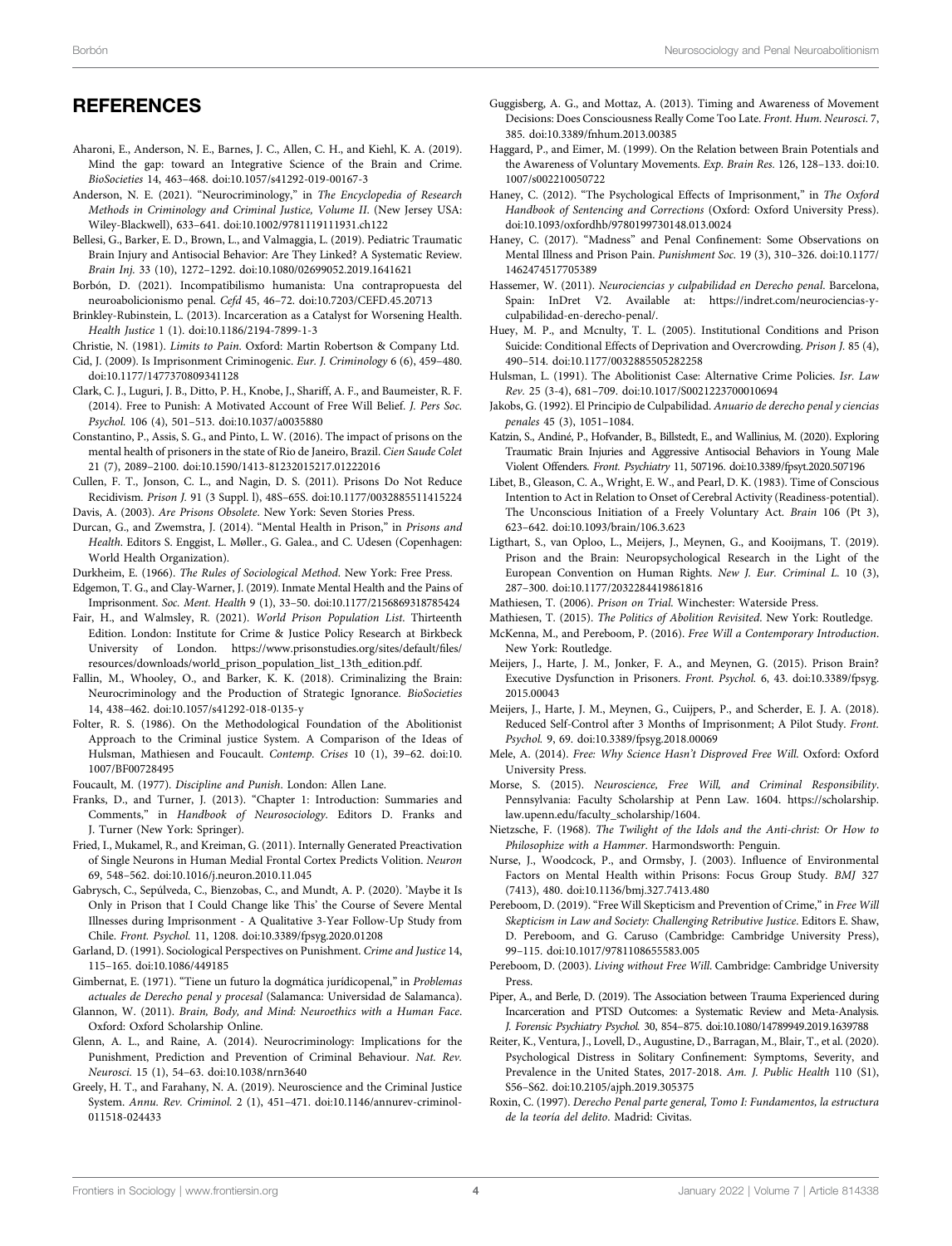#### **REFERENCES**

- <span id="page-3-33"></span>Aharoni, E., Anderson, N. E., Barnes, J. C., Allen, C. H., and Kiehl, K. A. (2019). Mind the gap: toward an Integrative Science of the Brain and Crime. BioSocieties 14, 463–468. doi[:10.1057/s41292-019-00167-3](https://doi.org/10.1057/s41292-019-00167-3)
- <span id="page-3-28"></span>Anderson, N. E. (2021). "Neurocriminology," in The Encyclopedia of Research Methods in Criminology and Criminal Justice, Volume II. (New Jersey USA: Wiley-Blackwell), 633–641. doi[:10.1002/9781119111931.ch122](https://doi.org/10.1002/9781119111931.ch122)
- <span id="page-3-30"></span>Bellesi, G., Barker, E. D., Brown, L., and Valmaggia, L. (2019). Pediatric Traumatic Brain Injury and Antisocial Behavior: Are They Linked? A Systematic Review. Brain Inj. 33 (10), 1272–1292. doi:[10.1080/02699052.2019.1641621](https://doi.org/10.1080/02699052.2019.1641621)
- <span id="page-3-0"></span>Borbón, D. (2021). Incompatibilismo humanista: Una contrapropuesta del neuroabolicionismo penal. Cefd 45, 46–72. doi[:10.7203/CEFD.45.20713](https://doi.org/10.7203/CEFD.45.20713)
- <span id="page-3-16"></span>Brinkley-Rubinstein, L. (2013). Incarceration as a Catalyst for Worsening Health. Health Justice 1 (1). doi[:10.1186/2194-7899-1-3](https://doi.org/10.1186/2194-7899-1-3)
- <span id="page-3-2"></span>Christie, N. (1981). Limits to Pain. Oxford: Martin Robertson & Company Ltd.
- <span id="page-3-11"></span>Cid, J. (2009). Is Imprisonment Criminogenic. Eur. J. Criminology 6 (6), 459–480. doi:[10.1177/1477370809341128](https://doi.org/10.1177/1477370809341128)
- <span id="page-3-47"></span>Clark, C. J., Luguri, J. B., Ditto, P. H., Knobe, J., Shariff, A. F., and Baumeister, R. F. (2014). Free to Punish: A Motivated Account of Free Will Belief. J. Pers Soc. Psychol. 106 (4), 501–513. doi[:10.1037/a0035880](https://doi.org/10.1037/a0035880)
- <span id="page-3-18"></span>Constantino, P., Assis, S. G., and Pinto, L. W. (2016). The impact of prisons on the mental health of prisoners in the state of Rio de Janeiro, Brazil. Cien Saude Colet 21 (7), 2089–2100. doi:[10.1590/1413-81232015217.01222016](https://doi.org/10.1590/1413-81232015217.01222016)
- <span id="page-3-12"></span>Cullen, F. T., Jonson, C. L., and Nagin, D. S. (2011). Prisons Do Not Reduce Recidivism. Prison J. 91 (3 Suppl. l), 48S–65S. doi[:10.1177/0032885511415224](https://doi.org/10.1177/0032885511415224) Davis, A. (2003). Are Prisons Obsolete. New York: Seven Stories Press.
- <span id="page-3-24"></span><span id="page-3-10"></span>Durcan, G., and Zwemstra, J. (2014). "Mental Health in Prison," in Prisons and Health. Editors S. Enggist, L. Møller., G. Galea., and C. Udesen (Copenhagen: World Health Organization).
- <span id="page-3-46"></span>Durkheim, E. (1966). The Rules of Sociological Method. New York: Free Press.
- <span id="page-3-21"></span>Edgemon, T. G., and Clay-Warner, J. (2019). Inmate Mental Health and the Pains of Imprisonment. Soc. Ment. Health 9 (1), 33–50. doi[:10.1177/2156869318785424](https://doi.org/10.1177/2156869318785424)
- <span id="page-3-7"></span>Fair, H., and Walmsley, R. (2021). World Prison Population List. Thirteenth Edition. London: Institute for Crime & Justice Policy Research at Birkbeck University of London. [https://www.prisonstudies.org/sites/default/](https://www.prisonstudies.org/sites/default/files/resources/downloads/world_prison_population_list_13th_edition.pdf)files/ [resources/downloads/world\\_prison\\_population\\_list\\_13th\\_edition.pdf.](https://www.prisonstudies.org/sites/default/files/resources/downloads/world_prison_population_list_13th_edition.pdf)
- <span id="page-3-32"></span>Fallin, M., Whooley, O., and Barker, K. K. (2018). Criminalizing the Brain: Neurocriminology and the Production of Strategic Ignorance. BioSocieties 14, 438–462. doi[:10.1057/s41292-018-0135-y](https://doi.org/10.1057/s41292-018-0135-y)
- <span id="page-3-1"></span>Folter, R. S. (1986). On the Methodological Foundation of the Abolitionist Approach to the Criminal justice System. A Comparison of the Ideas of Hulsman, Mathiesen and Foucault. Contemp. Crises 10 (1), 39–62. doi[:10.](https://doi.org/10.1007/BF00728495) [1007/BF00728495](https://doi.org/10.1007/BF00728495)
- <span id="page-3-49"></span>Foucault, M. (1977). Discipline and Punish. London: Allen Lane.
- <span id="page-3-6"></span>Franks, D., and Turner, J. (2013). "Chapter 1: Introduction: Summaries and Comments," in Handbook of Neurosociology. Editors D. Franks and J. Turner (New York: Springer).
- <span id="page-3-37"></span>Fried, I., Mukamel, R., and Kreiman, G. (2011). Internally Generated Preactivation of Single Neurons in Human Medial Frontal Cortex Predicts Volition. Neuron 69, 548–562. doi[:10.1016/j.neuron.2010.11.045](https://doi.org/10.1016/j.neuron.2010.11.045)
- <span id="page-3-26"></span>Gabrysch, C., Sepúlveda, C., Bienzobas, C., and Mundt, A. P. (2020). 'Maybe it Is Only in Prison that I Could Change like This' the Course of Severe Mental Illnesses during Imprisonment - A Qualitative 3-Year Follow-Up Study from Chile. Front. Psychol. 11, 1208. doi:[10.3389/fpsyg.2020.01208](https://doi.org/10.3389/fpsyg.2020.01208)
- <span id="page-3-50"></span>Garland, D. (1991). Sociological Perspectives on Punishment. Crime and Justice 14, 115–165. doi:[10.1086/449185](https://doi.org/10.1086/449185)
- <span id="page-3-42"></span>Gimbernat, E. (1971). "Tiene un futuro la dogmática jurídicopenal," in Problemas actuales de Derecho penal y procesal (Salamanca: Universidad de Salamanca).
- <span id="page-3-38"></span>Glannon, W. (2011). Brain, Body, and Mind: Neuroethics with a Human Face. Oxford: Oxford Scholarship Online.
- <span id="page-3-27"></span>Glenn, A. L., and Raine, A. (2014). Neurocriminology: Implications for the Punishment, Prediction and Prevention of Criminal Behaviour. Nat. Rev. Neurosci. 15 (1), 54–63. doi[:10.1038/nrn3640](https://doi.org/10.1038/nrn3640)
- <span id="page-3-29"></span>Greely, H. T., and Farahany, N. A. (2019). Neuroscience and the Criminal Justice System. Annu. Rev. Criminol. 2 (1), 451–471. doi[:10.1146/annurev-criminol-](https://doi.org/10.1146/annurev-criminol-011518-024433)[011518-024433](https://doi.org/10.1146/annurev-criminol-011518-024433)
- <span id="page-3-39"></span>Guggisberg, A. G., and Mottaz, A. (2013). Timing and Awareness of Movement Decisions: Does Consciousness Really Come Too Late. Front. Hum. Neurosci. 7, 385. doi[:10.3389/fnhum.2013.00385](https://doi.org/10.3389/fnhum.2013.00385)
- <span id="page-3-36"></span>Haggard, P., and Eimer, M. (1999). On the Relation between Brain Potentials and the Awareness of Voluntary Movements. Exp. Brain Res. 126, 128–133. doi[:10.](https://doi.org/10.1007/s002210050722) [1007/s002210050722](https://doi.org/10.1007/s002210050722)
- <span id="page-3-15"></span>Haney, C. (2012). "The Psychological Effects of Imprisonment," in The Oxford Handbook of Sentencing and Corrections (Oxford: Oxford University Press). doi[:10.1093/oxfordhb/9780199730148.013.0024](https://doi.org/10.1093/oxfordhb/9780199730148.013.0024)
- <span id="page-3-19"></span>Haney, C. (2017). "Madness" and Penal Confinement: Some Observations on Mental Illness and Prison Pain. Punishment Soc. 19 (3), 310–326. doi[:10.1177/](https://doi.org/10.1177/1462474517705389) [1462474517705389](https://doi.org/10.1177/1462474517705389)
- <span id="page-3-43"></span>Hassemer, W. (2011). Neurociencias y culpabilidad en Derecho penal. Barcelona, Spain: InDret V2. Available at: [https://indret.com/neurociencias-y](https://indret.com/neurociencias-y-culpabilidad-en-derecho-penal/)[culpabilidad-en-derecho-penal/](https://indret.com/neurociencias-y-culpabilidad-en-derecho-penal/).
- <span id="page-3-14"></span>Huey, M. P., and Mcnulty, T. L. (2005). Institutional Conditions and Prison Suicide: Conditional Effects of Deprivation and Overcrowding. Prison J. 85 (4), 490–514. doi:[10.1177/0032885505282258](https://doi.org/10.1177/0032885505282258)
- <span id="page-3-3"></span>Hulsman, L. (1991). The Abolitionist Case: Alternative Crime Policies. Isr. Law Rev. 25 (3-4), 681–709. doi[:10.1017/S0021223700010694](https://doi.org/10.1017/S0021223700010694)
- <span id="page-3-44"></span>Jakobs, G. (1992). El Principio de Culpabilidad. Anuario de derecho penal y ciencias penales 45 (3), 1051–1084.
- <span id="page-3-31"></span>Katzin, S., Andiné, P., Hofvander, B., Billstedt, E., and Wallinius, M. (2020). Exploring Traumatic Brain Injuries and Aggressive Antisocial Behaviors in Young Male Violent Offenders. Front. Psychiatry 11, 507196. doi:[10.3389/fpsyt.2020.507196](https://doi.org/10.3389/fpsyt.2020.507196)
- <span id="page-3-35"></span>Libet, B., Gleason, C. A., Wright, E. W., and Pearl, D. K. (1983). Time of Conscious Intention to Act in Relation to Onset of Cerebral Activity (Readiness-potential). The Unconscious Initiation of a Freely Voluntary Act. Brain 106 (Pt 3), 623–642. doi:[10.1093/brain/106.3.623](https://doi.org/10.1093/brain/106.3.623)
- <span id="page-3-25"></span>Ligthart, S., van Oploo, L., Meijers, J., Meynen, G., and Kooijmans, T. (2019). Prison and the Brain: Neuropsychological Research in the Light of the European Convention on Human Rights. New J. Eur. Criminal L. 10 (3), 287–300. doi:[10.1177/2032284419861816](https://doi.org/10.1177/2032284419861816)
- <span id="page-3-4"></span>Mathiesen, T. (2006). Prison on Trial. Winchester: Waterside Press.
- <span id="page-3-41"></span><span id="page-3-5"></span>Mathiesen, T. (2015). The Politics of Abolition Revisited. New York: Routledge. McKenna, M., and Pereboom, P. (2016). Free Will a Contemporary Introduction.
- New York: Routledge.
- <span id="page-3-17"></span>Meijers, J., Harte, J. M., Jonker, F. A., and Meynen, G. (2015). Prison Brain? Executive Dysfunction in Prisoners. Front. Psychol. 6, 43. doi[:10.3389/fpsyg.](https://doi.org/10.3389/fpsyg.2015.00043) [2015.00043](https://doi.org/10.3389/fpsyg.2015.00043)
- <span id="page-3-20"></span>Meijers, J., Harte, J. M., Meynen, G., Cuijpers, P., and Scherder, E. J. A. (2018). Reduced Self-Control after 3 Months of Imprisonment; A Pilot Study. Front. Psychol. 9, 69. doi[:10.3389/fpsyg.2018.00069](https://doi.org/10.3389/fpsyg.2018.00069)
- <span id="page-3-40"></span>Mele, A. (2014). Free: Why Science Hasn't Disproved Free Will. Oxford: Oxford University Press.
- <span id="page-3-45"></span>Morse, S. (2015). Neuroscience, Free Will, and Criminal Responsibility. Pennsylvania: Faculty Scholarship at Penn Law. 1604. [https://scholarship.](https://scholarship.law.upenn.edu/faculty_scholarship/1604) [law.upenn.edu/faculty\\_scholarship/1604](https://scholarship.law.upenn.edu/faculty_scholarship/1604).
- <span id="page-3-48"></span>Nietzsche, F. (1968). The Twilight of the Idols and the Anti-christ: Or How to Philosophize with a Hammer. Harmondsworth: Penguin.
- <span id="page-3-13"></span>Nurse, J., Woodcock, P., and Ormsby, J. (2003). Influence of Environmental Factors on Mental Health within Prisons: Focus Group Study. BMJ 327 (7413), 480. doi:[10.1136/bmj.327.7413.480](https://doi.org/10.1136/bmj.327.7413.480)
- <span id="page-3-9"></span>Pereboom, D. (2019). "Free Will Skepticism and Prevention of Crime," in Free Will Skepticism in Law and Society: Challenging Retributive Justice. Editors E. Shaw, D. Pereboom, and G. Caruso (Cambridge: Cambridge University Press), 99–115. doi[:10.1017/9781108655583.005](https://doi.org/10.1017/9781108655583.005)
- <span id="page-3-8"></span>Pereboom, D. (2003). Living without Free Will. Cambridge: Cambridge University Press.
- <span id="page-3-22"></span>Piper, A., and Berle, D. (2019). The Association between Trauma Experienced during Incarceration and PTSD Outcomes: a Systematic Review and Meta-Analysis. J. Forensic Psychiatry Psychol. 30, 854–875. doi[:10.1080/14789949.2019.1639788](https://doi.org/10.1080/14789949.2019.1639788)
- <span id="page-3-23"></span>Reiter, K., Ventura, J., Lovell, D., Augustine, D., Barragan, M., Blair, T., et al. (2020). Psychological Distress in Solitary Confinement: Symptoms, Severity, and Prevalence in the United States, 2017-2018. Am. J. Public Health 110 (S1), S56–S62. doi:[10.2105/ajph.2019.305375](https://doi.org/10.2105/ajph.2019.305375)
- <span id="page-3-34"></span>Roxin, C. (1997). Derecho Penal parte general, Tomo I: Fundamentos, la estructura de la teoría del delito. Madrid: Civitas